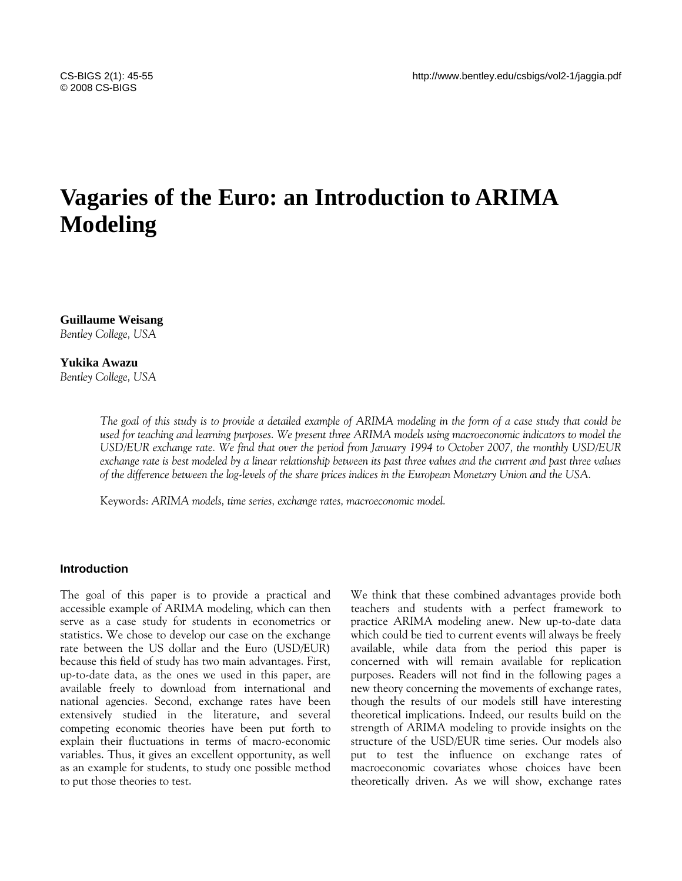# **Vagaries of the Euro: an Introduction to ARIMA Modeling**

**Guillaume Weisang** *Bentley College, USA* 

**Yukika Awazu** *Bentley College, USA* 

> *The goal of this study is to provide a detailed example of ARIMA modeling in the form of a case study that could be used for teaching and learning purposes. We present three ARIMA models using macroeconomic indicators to model the USD/EUR exchange rate. We find that over the period from January 1994 to October 2007, the monthly USD/EUR exchange rate is best modeled by a linear relationship between its past three values and the current and past three values of the difference between the log-levels of the share prices indices in the European Monetary Union and the USA.*

Keywords: *ARIMA models, time series, exchange rates, macroeconomic model.* 

# **Introduction**

The goal of this paper is to provide a practical and accessible example of ARIMA modeling, which can then serve as a case study for students in econometrics or statistics. We chose to develop our case on the exchange rate between the US dollar and the Euro (USD/EUR) because this field of study has two main advantages. First, up-to-date data, as the ones we used in this paper, are available freely to download from international and national agencies. Second, exchange rates have been extensively studied in the literature, and several competing economic theories have been put forth to explain their fluctuations in terms of macro-economic variables. Thus, it gives an excellent opportunity, as well as an example for students, to study one possible method to put those theories to test.

We think that these combined advantages provide both teachers and students with a perfect framework to practice ARIMA modeling anew. New up-to-date data which could be tied to current events will always be freely available, while data from the period this paper is concerned with will remain available for replication purposes. Readers will not find in the following pages a new theory concerning the movements of exchange rates, though the results of our models still have interesting theoretical implications. Indeed, our results build on the strength of ARIMA modeling to provide insights on the structure of the USD/EUR time series. Our models also put to test the influence on exchange rates of macroeconomic covariates whose choices have been theoretically driven. As we will show, exchange rates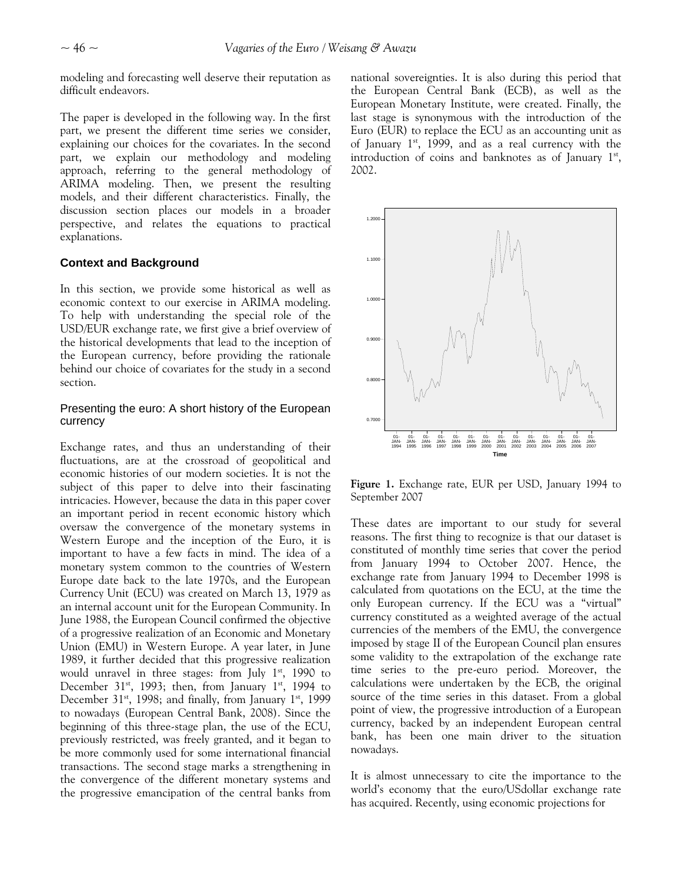modeling and forecasting well deserve their reputation as difficult endeavors.

The paper is developed in the following way. In the first part, we present the different time series we consider, explaining our choices for the covariates. In the second part, we explain our methodology and modeling approach, referring to the general methodology of ARIMA modeling. Then, we present the resulting models, and their different characteristics. Finally, the discussion section places our models in a broader perspective, and relates the equations to practical explanations.

# **Context and Background**

In this section, we provide some historical as well as economic context to our exercise in ARIMA modeling. To help with understanding the special role of the USD/EUR exchange rate, we first give a brief overview of the historical developments that lead to the inception of the European currency, before providing the rationale behind our choice of covariates for the study in a second section.

# Presenting the euro: A short history of the European currency

Exchange rates, and thus an understanding of their fluctuations, are at the crossroad of geopolitical and economic histories of our modern societies. It is not the subject of this paper to delve into their fascinating intricacies. However, because the data in this paper cover an important period in recent economic history which oversaw the convergence of the monetary systems in Western Europe and the inception of the Euro, it is important to have a few facts in mind. The idea of a monetary system common to the countries of Western Europe date back to the late 1970s, and the European Currency Unit (ECU) was created on March 13, 1979 as an internal account unit for the European Community. In June 1988, the European Council confirmed the objective of a progressive realization of an Economic and Monetary Union (EMU) in Western Europe. A year later, in June 1989, it further decided that this progressive realization would unravel in three stages: from July  $1<sup>st</sup>$ , 1990 to December 31<sup>st</sup>, 1993; then, from January 1<sup>st</sup>, 1994 to December 31<sup>st</sup>, 1998; and finally, from January 1<sup>st</sup>, 1999 to nowadays (European Central Bank, 2008). Since the beginning of this three-stage plan, the use of the ECU, previously restricted, was freely granted, and it began to be more commonly used for some international financial transactions. The second stage marks a strengthening in the convergence of the different monetary systems and the progressive emancipation of the central banks from national sovereignties. It is also during this period that the European Central Bank (ECB), as well as the European Monetary Institute, were created. Finally, the last stage is synonymous with the introduction of the Euro (EUR) to replace the ECU as an accounting unit as of January  $1^{st}$ , 1999, and as a real currency with the introduction of coins and banknotes as of January  $1<sup>st</sup>$ , 2002.



**Figure 1.** Exchange rate, EUR per USD, January 1994 to September 2007

These dates are important to our study for several reasons. The first thing to recognize is that our dataset is constituted of monthly time series that cover the period from January 1994 to October 2007. Hence, the exchange rate from January 1994 to December 1998 is calculated from quotations on the ECU, at the time the only European currency. If the ECU was a "virtual" currency constituted as a weighted average of the actual currencies of the members of the EMU, the convergence imposed by stage II of the European Council plan ensures some validity to the extrapolation of the exchange rate time series to the pre-euro period. Moreover, the calculations were undertaken by the ECB, the original source of the time series in this dataset. From a global point of view, the progressive introduction of a European currency, backed by an independent European central bank, has been one main driver to the situation nowadays.

It is almost unnecessary to cite the importance to the world's economy that the euro/USdollar exchange rate has acquired. Recently, using economic projections for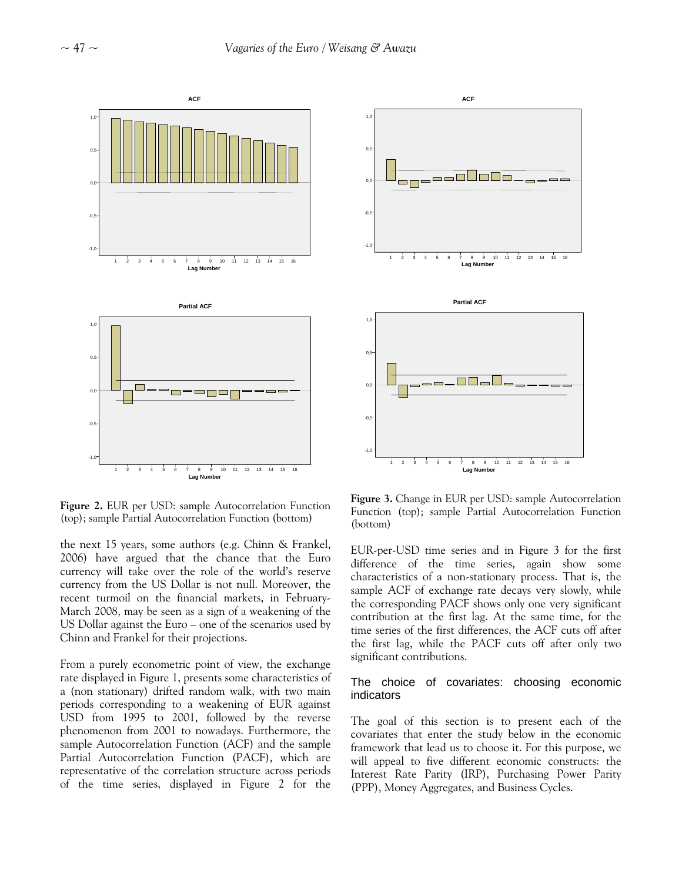

**Figure 2.** EUR per USD: sample Autocorrelation Function (top); sample Partial Autocorrelation Function (bottom)

the next 15 years, some authors (e.g. Chinn & Frankel, 2006) have argued that the chance that the Euro currency will take over the role of the world's reserve currency from the US Dollar is not null. Moreover, the recent turmoil on the financial markets, in February-March 2008, may be seen as a sign of a weakening of the US Dollar against the Euro – one of the scenarios used by Chinn and Frankel for their projections.

From a purely econometric point of view, the exchange rate displayed in Figure 1, presents some characteristics of a (non stationary) drifted random walk, with two main periods corresponding to a weakening of EUR against USD from 1995 to 2001, followed by the reverse phenomenon from 2001 to nowadays. Furthermore, the sample Autocorrelation Function (ACF) and the sample Partial Autocorrelation Function (PACF), which are representative of the correlation structure across periods of the time series, displayed in Figure 2 for the



**Figure 3.** Change in EUR per USD: sample Autocorrelation Function (top); sample Partial Autocorrelation Function (bottom)

EUR-per-USD time series and in Figure 3 for the first difference of the time series, again show some characteristics of a non-stationary process. That is, the sample ACF of exchange rate decays very slowly, while the corresponding PACF shows only one very significant contribution at the first lag. At the same time, for the time series of the first differences, the ACF cuts off after the first lag, while the PACF cuts off after only two significant contributions.

# The choice of covariates: choosing economic indicators

The goal of this section is to present each of the covariates that enter the study below in the economic framework that lead us to choose it. For this purpose, we will appeal to five different economic constructs: the Interest Rate Parity (IRP), Purchasing Power Parity (PPP), Money Aggregates, and Business Cycles.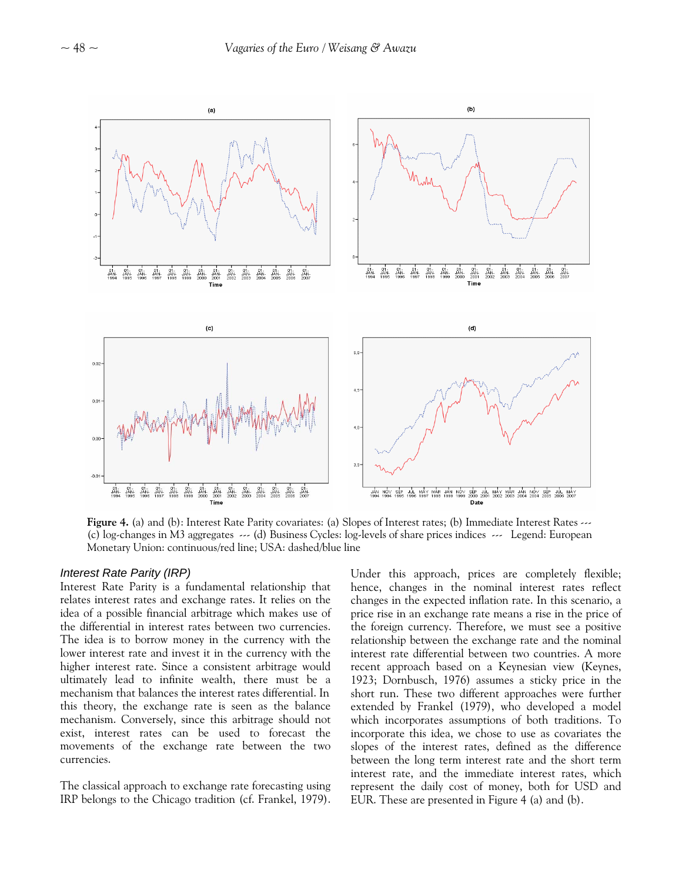

**Figure 4.** (a) and (b): Interest Rate Parity covariates: (a) Slopes of Interest rates; (b) Immediate Interest Rates ---(c) log-changes in M3 aggregates --- (d) Business Cycles: log-levels of share prices indices --- Legend: European Monetary Union: continuous/red line; USA: dashed/blue line

## *Interest Rate Parity (IRP)*

Interest Rate Parity is a fundamental relationship that relates interest rates and exchange rates. It relies on the idea of a possible financial arbitrage which makes use of the differential in interest rates between two currencies. The idea is to borrow money in the currency with the lower interest rate and invest it in the currency with the higher interest rate. Since a consistent arbitrage would ultimately lead to infinite wealth, there must be a mechanism that balances the interest rates differential. In this theory, the exchange rate is seen as the balance mechanism. Conversely, since this arbitrage should not exist, interest rates can be used to forecast the movements of the exchange rate between the two currencies.

The classical approach to exchange rate forecasting using IRP belongs to the Chicago tradition (cf. Frankel, 1979). Under this approach, prices are completely flexible; hence, changes in the nominal interest rates reflect changes in the expected inflation rate. In this scenario, a price rise in an exchange rate means a rise in the price of the foreign currency. Therefore, we must see a positive relationship between the exchange rate and the nominal interest rate differential between two countries. A more recent approach based on a Keynesian view (Keynes, 1923; Dornbusch, 1976) assumes a sticky price in the short run. These two different approaches were further extended by Frankel (1979), who developed a model which incorporates assumptions of both traditions. To incorporate this idea, we chose to use as covariates the slopes of the interest rates, defined as the difference between the long term interest rate and the short term interest rate, and the immediate interest rates, which represent the daily cost of money, both for USD and EUR. These are presented in Figure 4 (a) and (b).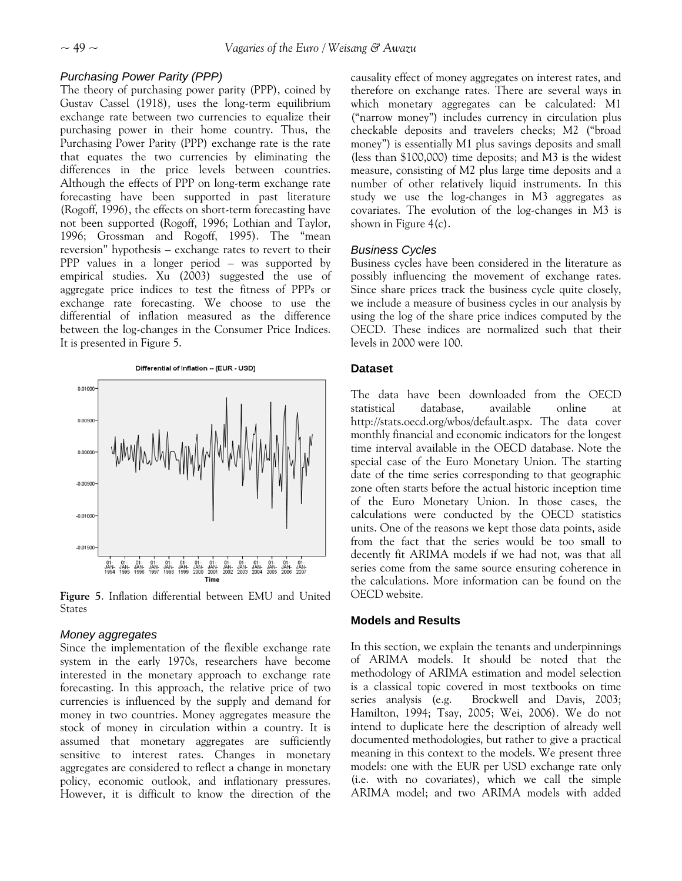# *Purchasing Power Parity (PPP)*

The theory of purchasing power parity (PPP), coined by Gustav Cassel (1918), uses the long-term equilibrium exchange rate between two currencies to equalize their purchasing power in their home country. Thus, the Purchasing Power Parity (PPP) exchange rate is the rate that equates the two currencies by eliminating the differences in the price levels between countries. Although the effects of PPP on long-term exchange rate forecasting have been supported in past literature (Rogoff, 1996), the effects on short-term forecasting have not been supported (Rogoff, 1996; Lothian and Taylor, 1996; Grossman and Rogoff, 1995). The "mean reversion" hypothesis – exchange rates to revert to their PPP values in a longer period – was supported by empirical studies. Xu (2003) suggested the use of aggregate price indices to test the fitness of PPPs or exchange rate forecasting. We choose to use the differential of inflation measured as the difference between the log-changes in the Consumer Price Indices. It is presented in Figure 5.



**Figure 5**. Inflation differential between EMU and United **States** 

# *Money aggregates*

Since the implementation of the flexible exchange rate system in the early 1970s, researchers have become interested in the monetary approach to exchange rate forecasting. In this approach, the relative price of two currencies is influenced by the supply and demand for money in two countries. Money aggregates measure the stock of money in circulation within a country. It is assumed that monetary aggregates are sufficiently sensitive to interest rates. Changes in monetary aggregates are considered to reflect a change in monetary policy, economic outlook, and inflationary pressures. However, it is difficult to know the direction of the

causality effect of money aggregates on interest rates, and therefore on exchange rates. There are several ways in which monetary aggregates can be calculated: M1 ("narrow money") includes currency in circulation plus checkable deposits and travelers checks; M2 ("broad money") is essentially M1 plus savings deposits and small (less than \$100,000) time deposits; and M3 is the widest measure, consisting of M2 plus large time deposits and a number of other relatively liquid instruments. In this study we use the log-changes in M3 aggregates as covariates. The evolution of the log-changes in M3 is shown in Figure 4(c).

## *Business Cycles*

Business cycles have been considered in the literature as possibly influencing the movement of exchange rates. Since share prices track the business cycle quite closely, we include a measure of business cycles in our analysis by using the log of the share price indices computed by the OECD. These indices are normalized such that their levels in 2000 were 100.

# **Dataset**

The data have been downloaded from the OECD statistical database, available online at http://stats.oecd.org/wbos/default.aspx. The data cover monthly financial and economic indicators for the longest time interval available in the OECD database. Note the special case of the Euro Monetary Union. The starting date of the time series corresponding to that geographic zone often starts before the actual historic inception time of the Euro Monetary Union. In those cases, the calculations were conducted by the OECD statistics units. One of the reasons we kept those data points, aside from the fact that the series would be too small to decently fit ARIMA models if we had not, was that all series come from the same source ensuring coherence in the calculations. More information can be found on the OECD website.

# **Models and Results**

In this section, we explain the tenants and underpinnings of ARIMA models. It should be noted that the methodology of ARIMA estimation and model selection is a classical topic covered in most textbooks on time series analysis (e.g. Brockwell and Davis, 2003; Hamilton, 1994; Tsay, 2005; Wei, 2006). We do not intend to duplicate here the description of already well documented methodologies, but rather to give a practical meaning in this context to the models. We present three models: one with the EUR per USD exchange rate only (i.e. with no covariates), which we call the simple ARIMA model; and two ARIMA models with added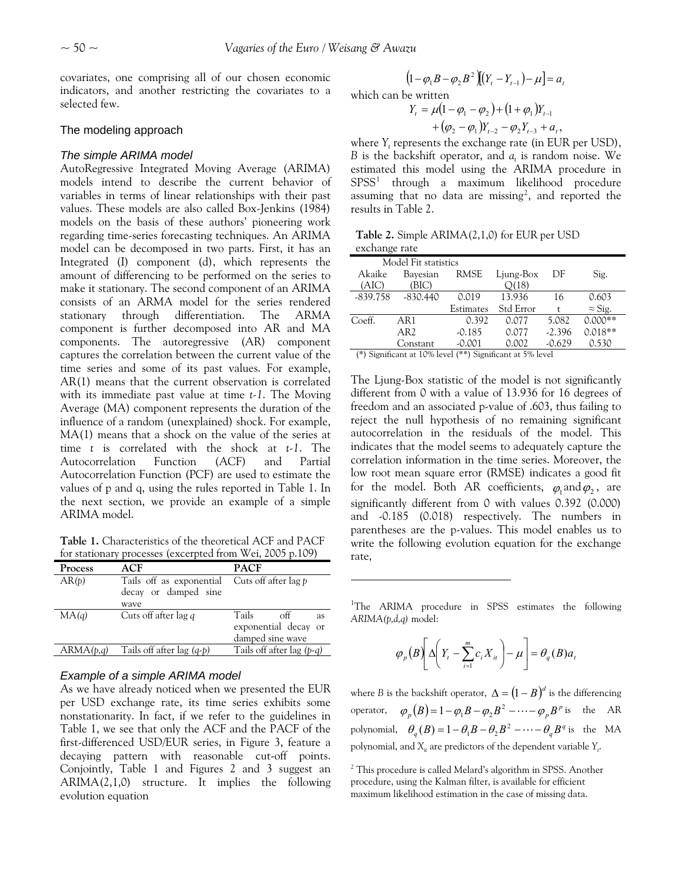covariates, one comprising all of our chosen economic indicators, and another restricting the covariates to a selected few.

## The modeling approach

#### *The simple ARIMA model*

AutoRegressive Integrated Moving Average (ARIMA) models intend to describe the current behavior of variables in terms of linear relationships with their past values. These models are also called Box-Jenkins (1984) models on the basis of these authors' pioneering work regarding time-series forecasting techniques. An ARIMA model can be decomposed in two parts. First, it has an Integrated (I) component (d), which represents the amount of differencing to be performed on the series to make it stationary. The second component of an ARIMA consists of an ARMA model for the series rendered stationary through differentiation. The ARMA component is further decomposed into AR and MA components. The autoregressive (AR) component captures the correlation between the current value of the time series and some of its past values. For example, AR(1) means that the current observation is correlated with its immediate past value at time *t-1*. The Moving Average (MA) component represents the duration of the influence of a random (unexplained) shock. For example, MA(1) means that a shock on the value of the series at time *t* is correlated with the shock at *t-1*. The Autocorrelation Function (ACF) and Partial Autocorrelation Function (PCF) are used to estimate the values of p and q, using the rules reported in Table 1. In the next section, we provide an example of a simple ARIMA model.

**Table 1.** Characteristics of the theoretical ACF and PACF for stationary processes (excerpted from Wei, 2005 p.109)

<span id="page-5-0"></span>

| Process   | ACF                                              | <b>PACF</b>                      |  |  |
|-----------|--------------------------------------------------|----------------------------------|--|--|
| AR(p)     | Tails off as exponential<br>decay or damped sine | Cuts off after lag p             |  |  |
|           | wave                                             |                                  |  |  |
| MA(q)     | Cuts off after lag q                             | Tails<br>$\circ$ ff<br><b>as</b> |  |  |
|           |                                                  | exponential decay or             |  |  |
|           |                                                  | damped sine wave                 |  |  |
| ARMA(p,q) | Tails off after lag $(q-p)$                      | Tails off after lag $(p-q)$      |  |  |

## *Example of a simple ARIMA model*

<span id="page-5-1"></span>As we have already noticed when we presented the EUR per USD exchange rate, its time series exhibits some nonstationarity. In fact, if we refer to the guidelines in Table 1, we see that only the ACF and the PACF of the first-differenced USD/EUR series, in Figure 3, feature a decaying pattern with reasonable cut-off points. Conjointly, Table 1 and Figures 2 and 3 suggest an ARIMA(2,1,0) structure. It implies the following evolution equation

$$
(1 - \varphi_1 B - \varphi_2 B^2)[(Y_t - Y_{t-1}) - \mu] = a_t
$$
  
which can be written  

$$
Y_t = \mu(1 - \varphi_1 - \varphi_2) + (1 + \varphi_1)Y_{t-1}
$$

$$
+ (\varphi_2 - \varphi_1) Y_{t-2} - \varphi_2 Y_{t-3} + a_t,
$$

where *Y<sub>t</sub>* represents the exchange rate (in EUR per USD), *B* is the backshift operator, and  $a_t$  is random noise. We estimated this model using the ARIMA procedure in SPSS<sup>[1](#page-5-0)</sup> through a maximum likelihood procedure assuming that no data are missing<sup>[2](#page-5-1)</sup>, and reported the results in Table 2.

**Table 2.** Simple ARIMA(2,1,0) for EUR per USD exchange rate

| Model Fit statistics |            |           |            |          |                |  |
|----------------------|------------|-----------|------------|----------|----------------|--|
| Akaike               | Bayesian   | RMSE      | Ljung-Box  | DF       | Sig.           |  |
| (AIC)                | (BIC)      |           | O(18)      |          |                |  |
| $-839.758$           | $-830.440$ | 0.019     | 13.936     | 16       | 0.603          |  |
|                      |            | Estimates | Std Error  | t        | $\approx$ Sig. |  |
| Coeff.               | AR1        | 0.392     | 0.077      | 5.082    | $0.000**$      |  |
|                      | AR2        | $-0.185$  | 0.077      | $-2.396$ | $0.018**$      |  |
|                      | Constant   | $-0.001$  | 0.002      | $-0.629$ | 0.530          |  |
| $\sim$<br>$\sim$     | 4.0011     | 1 / 2     | $H \cap I$ |          |                |  |

(\*) Significant at 10% level (\*\*) Significant at 5% level

The Ljung-Box statistic of the model is not significantly different from 0 with a value of 13.936 for 16 degrees of freedom and an associated p-value of .603, thus failing to reject the null hypothesis of no remaining significant autocorrelation in the residuals of the model. This indicates that the model seems to adequately capture the correlation information in the time series. Moreover, the low root mean square error (RMSE) indicates a good fit for the model. Both AR coefficients,  $\varphi_1$  and  $\varphi_2$ , are significantly different from 0 with values 0.392 (0.000) and -0.185 (0.018) respectively. The numbers in parentheses are the p-values. This model enables us to write the following evolution equation for the exchange rate,

<sup>1</sup>The ARIMA procedure in SPSS estimates the following *ARIMA(p,d,q)* model:

$$
\varphi_p(B)\bigg[\Delta\bigg(Y_t-\sum_{i=1}^m c_i X_{it}\bigg)-\mu\bigg]=\theta_q(B)a_t
$$

where *B* is the backshift operator,  $\Delta = (1-B)^d$  is the differencing operator,  $\varphi_p(B) = 1 - \varphi_1 B - \varphi_2 B^2 - \cdots - \varphi_p B^p$  is the AR  $p$ olynomial,  $\theta_q(B) = 1 - \theta_1 B - \theta_2 B^2 - \cdots - \theta_q B^q$  is the MA polynomial, and  $X_{it}$  are predictors of the dependent variable  $Y_{t}$ .

<sup>&</sup>lt;sup>2</sup> This procedure is called Melard's algorithm in SPSS. Another procedure, using the Kalman filter, is available for efficient maximum likelihood estimation in the case of missing data.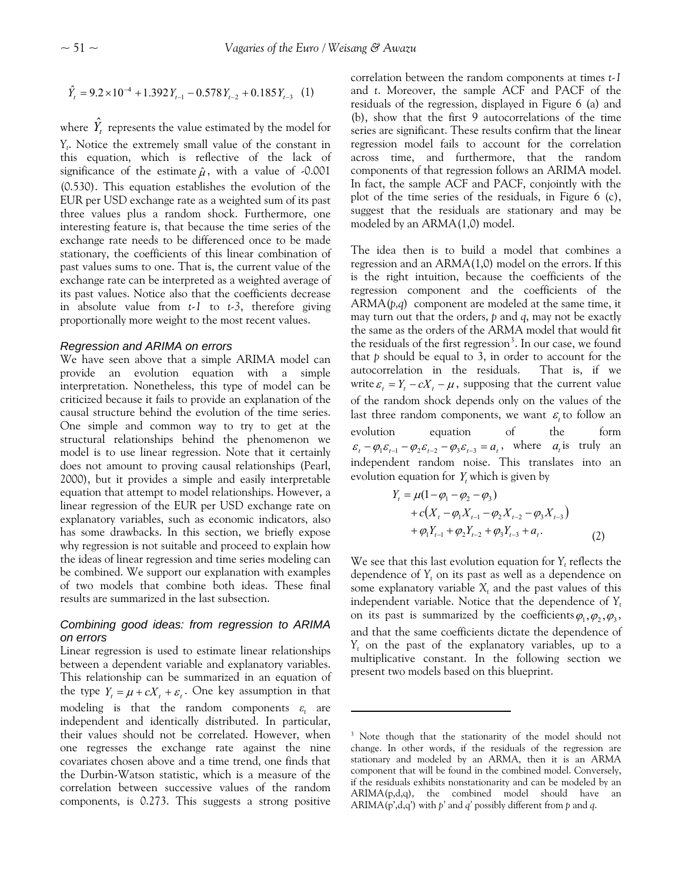$$
\hat{Y}_t = 9.2 \times 10^{-4} + 1.392 Y_{t-1} - 0.578 Y_{t-2} + 0.185 Y_{t-3} \tag{1}
$$

where  $\hat{Y}_{t}$  represents the value estimated by the model for *Yt* . Notice the extremely small value of the constant in this equation, which is reflective of the lack of significance of the estimate  $\hat{\mu}$ , with a value of -0.001 (0.530). This equation establishes the evolution of the EUR per USD exchange rate as a weighted sum of its past three values plus a random shock. Furthermore, one interesting feature is, that because the time series of the exchange rate needs to be differenced once to be made stationary, the coefficients of this linear combination of past values sums to one. That is, the current value of the exchange rate can be interpreted as a weighted average of its past values. Notice also that the coefficients decrease in absolute value from *t-1* to *t-3*, therefore giving proportionally more weight to the most recent values.

#### *Regression and ARIMA on errors*

We have seen above that a simple ARIMA model can provide an evolution equation with a simple interpretation. Nonetheless, this type of model can be criticized because it fails to provide an explanation of the causal structure behind the evolution of the time series. One simple and common way to try to get at the structural relationships behind the phenomenon we model is to use linear regression. Note that it certainly does not amount to proving causal relationships (Pearl, 2000), but it provides a simple and easily interpretable equation that attempt to model relationships. However, a linear regression of the EUR per USD exchange rate on explanatory variables, such as economic indicators, also has some drawbacks. In this section, we briefly expose why regression is not suitable and proceed to explain how the ideas of linear regression and time series modeling can be combined. We support our explanation with examples of two models that combine both ideas. These final results are summarized in the last subsection.

# *Combining good ideas: from regression to ARIMA on errors*

<span id="page-6-0"></span>Linear regression is used to estimate linear relationships between a dependent variable and explanatory variables. This relationship can be summarized in an equation of the type  $Y_t = \mu + cX_t + \varepsilon_t$ . One key assumption in that modeling is that the random components  $\varepsilon_t$  are independent and identically distributed. In particular, their values should not be correlated. However, when one regresses the exchange rate against the nine covariates chosen above and a time trend, one finds that the Durbin-Watson statistic, which is a measure of the correlation between successive values of the random components, is 0.273. This suggests a strong positive

correlation between the random components at times *t-1* and *t*. Moreover, the sample ACF and PACF of the residuals of the regression, displayed in Figure 6 (a) and (b), show that the first 9 autocorrelations of the time series are significant. These results confirm that the linear regression model fails to account for the correlation across time, and furthermore, that the random components of that regression follows an ARIMA model. In fact, the sample ACF and PACF, conjointly with the plot of the time series of the residuals, in Figure 6 (c), suggest that the residuals are stationary and may be modeled by an ARMA(1,0) model.

The idea then is to build a model that combines a regression and an ARMA(1,0) model on the errors. If this is the right intuition, because the coefficients of the regression component and the coefficients of the ARMA(*p,q*) component are modeled at the same time, it may turn out that the orders, *p* and *q*, may not be exactly the same as the orders of the ARMA model that would fit the residuals of the first regression<sup>[3](#page-6-0)</sup>. In our case, we found that *p* should be equal to 3, in order to account for the autocorrelation in the residuals. That is, if we write  $\varepsilon_t = Y_t - cX_t - \mu$ , supposing that the current value of the random shock depends only on the values of the last three random components, we want  $\varepsilon$  to follow an evolution equation of the form  $\varepsilon_t - \varphi_1 \varepsilon_{t-1} - \varphi_2 \varepsilon_{t-2} - \varphi_3 \varepsilon_{t-3} = a_t$ , where  $a_t$  is truly an independent random noise. This translates into an evolution equation for  $Y_t$  which is given by

$$
Y_{t} = \mu(1 - \varphi_{1} - \varphi_{2} - \varphi_{3})
$$
  
+  $c(X_{t} - \varphi_{1}X_{t-1} - \varphi_{2}X_{t-2} - \varphi_{3}X_{t-3})$   
+  $\varphi_{1}Y_{t-1} + \varphi_{2}Y_{t-2} + \varphi_{3}Y_{t-3} + a_{t}$ . (2)

We see that this last evolution equation for  $Y_t$  reflects the dependence of *Yt* on its past as well as a dependence on some explanatory variable  $X_t$  and the past values of this independent variable. Notice that the dependence of  $Y_t$ on its past is summarized by the coefficients  $\varphi_1, \varphi_2, \varphi_3$ , and that the same coefficients dictate the dependence of *Yt* on the past of the explanatory variables, up to a multiplicative constant. In the following section we present two models based on this blueprint.

<sup>&</sup>lt;sup>3</sup> Note though that the stationarity of the model should not change. In other words, if the residuals of the regression are stationary and modeled by an ARMA, then it is an ARMA component that will be found in the combined model. Conversely, if the residuals exhibits nonstationarity and can be modeled by an ARIMA(p,d,q), the combined model should have an ARIMA(p',d,q') with *p'* and *q'* possibly different from *p* and *q*.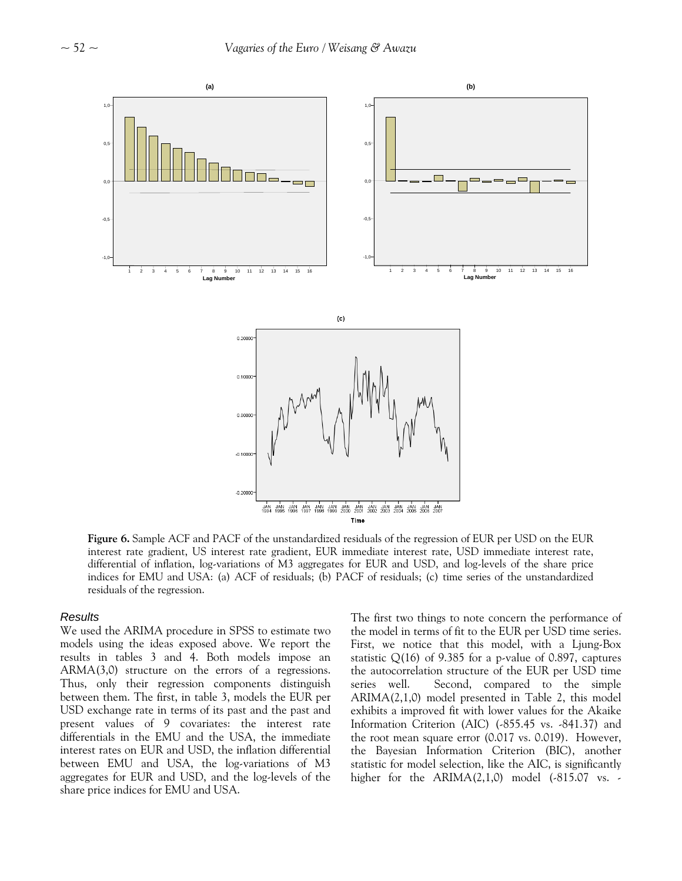

**Figure 6.** Sample ACF and PACF of the unstandardized residuals of the regression of EUR per USD on the EUR interest rate gradient, US interest rate gradient, EUR immediate interest rate, USD immediate interest rate, differential of inflation, log-variations of M3 aggregates for EUR and USD, and log-levels of the share price indices for EMU and USA: (a) ACF of residuals; (b) PACF of residuals; (c) time series of the unstandardized residuals of the regression.

## *Results*

We used the ARIMA procedure in SPSS to estimate two models using the ideas exposed above. We report the results in tables 3 and 4. Both models impose an ARMA(3,0) structure on the errors of a regressions. Thus, only their regression components distinguish between them. The first, in table 3, models the EUR per USD exchange rate in terms of its past and the past and present values of 9 covariates: the interest rate differentials in the EMU and the USA, the immediate interest rates on EUR and USD, the inflation differential between EMU and USA, the log-variations of M3 aggregates for EUR and USD, and the log-levels of the share price indices for EMU and USA.

The first two things to note concern the performance of the model in terms of fit to the EUR per USD time series. First, we notice that this model, with a Ljung-Box statistic  $Q(16)$  of 9.385 for a p-value of 0.897, captures the autocorrelation structure of the EUR per USD time series well. Second, compared to the simple ARIMA(2,1,0) model presented in Table 2, this model exhibits a improved fit with lower values for the Akaike Information Criterion (AIC) (-855.45 vs. -841.37) and the root mean square error (0.017 vs. 0.019). However, the Bayesian Information Criterion (BIC), another statistic for model selection, like the AIC, is significantly higher for the  $ARIMA(2,1,0)$  model  $(-815.07 \text{ vs. -}$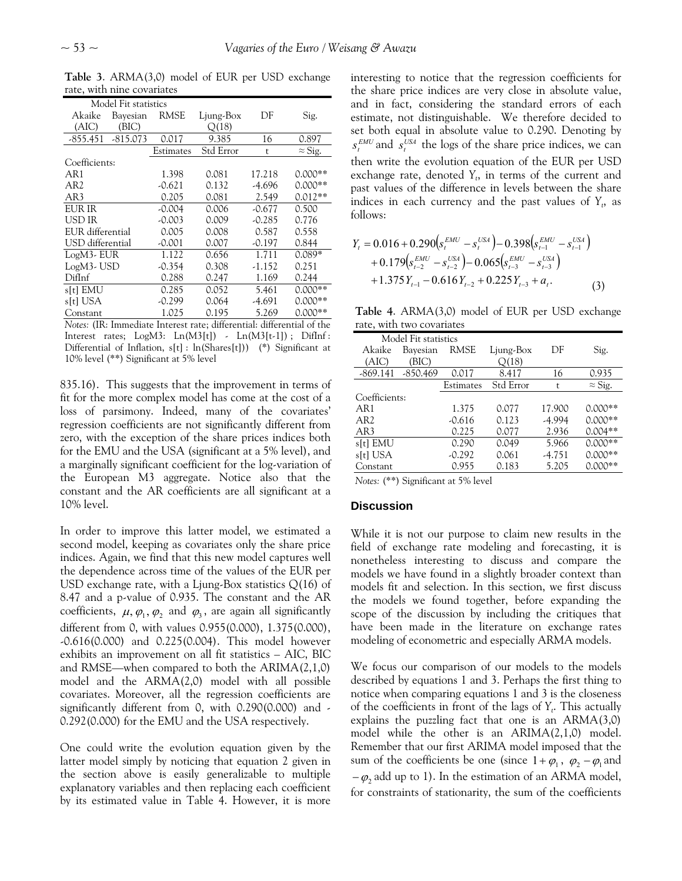| Model Fit statistics |            |           |           |          |                |
|----------------------|------------|-----------|-----------|----------|----------------|
| Akaike               | Bayesian   | RMSE      | Ljung-Box | DF       | Sig.           |
| (AIC)                | (BIC)      |           | O(18)     |          |                |
| $-855.451$           | $-815.073$ | 0.017     | 9.385     | 16       | 0.897          |
|                      |            | Estimates | Std Error | t        | $\approx$ Sig. |
| Coefficients:        |            |           |           |          |                |
| AR1                  |            | 1.398     | 0.081     | 17.218   | $0.000**$      |
| AR <sub>2</sub>      |            | $-0.621$  | 0.132     | -4.696   | $0.000**$      |
| AR3                  |            | 0.205     | 0.081     | 2.549    | $0.012**$      |
| EUR IR               |            | $-0.004$  | 0.006     | $-0.677$ | 0.500          |
| USD IR               |            | $-0.003$  | 0.009     | $-0.285$ | 0.776          |
| EUR differential     |            | 0.005     | 0.008     | 0.587    | 0.558          |
| USD differential     |            | $-0.001$  | 0.007     | $-0.197$ | 0.844          |
| LogM3-EUR            |            | 1.122     | 0.656     | 1.711    | 0.089*         |
| LogM3-USD            |            | $-0.354$  | 0.308     | -1.152   | 0.251          |
| DifInf               |            | 0.288     | 0.247     | 1.169    | 0.244          |
| s[t] EMU             |            | 0.285     | 0.052     | 5.461    | $0.000**$      |
| s[t] USA             |            | $-0.299$  | 0.064     | -4.691   | $0.000**$      |
| Constant             |            | 1.025     | 0.195     | 5.269    | $0.000**$      |

**Table 3**. ARMA(3,0) model of EUR per USD exchange rate, with nine covariates

*Notes:* (IR: Immediate Interest rate; differential: differential of the Interest rates; LogM3: Ln(M3[t]) - Ln(M3[t-1]); DifInf: Differential of Inflation, s[t] : ln(Shares[t])) (\*) Significant at 10% level (\*\*) Significant at 5% level

835.16). This suggests that the improvement in terms of fit for the more complex model has come at the cost of a loss of parsimony. Indeed, many of the covariates' regression coefficients are not significantly different from zero, with the exception of the share prices indices both for the EMU and the USA (significant at a 5% level), and a marginally significant coefficient for the log-variation of the European M3 aggregate. Notice also that the constant and the AR coefficients are all significant at a 10% level.

In order to improve this latter model, we estimated a second model, keeping as covariates only the share price indices. Again, we find that this new model captures well the dependence across time of the values of the EUR per USD exchange rate, with a Ljung-Box statistics  $Q(16)$  of 8.47 and a p-value of 0.935. The constant and the AR coefficients,  $\mu$ ,  $\varphi_1$ ,  $\varphi_2$  and  $\varphi_3$ , are again all significantly different from 0, with values 0.955(0.000), 1.375(0.000), -0.616(0.000) and 0.225(0.004). This model however exhibits an improvement on all fit statistics – AIC, BIC and RMSE—when compared to both the ARIMA(2,1,0) model and the ARMA(2,0) model with all possible covariates. Moreover, all the regression coefficients are significantly different from 0, with 0.290(0.000) and - 0.292(0.000) for the EMU and the USA respectively.

One could write the evolution equation given by the latter model simply by noticing that equation 2 given in the section above is easily generalizable to multiple explanatory variables and then replacing each coefficient by its estimated value in Table 4. However, it is more interesting to notice that the regression coefficients for the share price indices are very close in absolute value, and in fact, considering the standard errors of each estimate, not distinguishable. We therefore decided to set both equal in absolute value to 0.290. Denoting by  $s_t^{EMU}$  and  $s_t^{USA}$  the logs of the share price indices, we can then write the evolution equation of the EUR per USD exchange rate, denoted  $Y_t$ , in terms of the current and past values of the difference in levels between the share indices in each currency and the past values of  $Y_t$ , as follows:

$$
Y_{t} = 0.016 + 0.290(s_{t}^{EMU} - s_{t}^{USA}) - 0.398(s_{t-1}^{EMU} - s_{t-1}^{USA}) + 0.179(s_{t-2}^{EMU} - s_{t-2}^{USA}) - 0.065(s_{t-3}^{EMU} - s_{t-3}^{USA}) + 1.375Y_{t-1} - 0.616Y_{t-2} + 0.225Y_{t-3} + a_{t}.
$$
 (3)

**Table 4**. ARMA(3,0) model of EUR per USD exchange rate, with two covariates

| Model Fit statistics |            |           |           |          |                |
|----------------------|------------|-----------|-----------|----------|----------------|
| Akaike               | Bayesian   | RMSE      | Ljung-Box | DF       | Sig.           |
| (AIC)                | (BIC)      |           | O(18)     |          |                |
| $-869.141$           | $-850.469$ | 0.017     | 8.417     | 16       | 0.935          |
|                      |            | Estimates | Std Error | t        | $\approx$ Sig. |
| Coefficients:        |            |           |           |          |                |
| AR1                  |            | 1.375     | 0.077     | 17.900   | $0.000**$      |
| AR <sub>2</sub>      |            | $-0.616$  | 0.123     | $-4.994$ | $0.000**$      |
| AR3                  |            | 0.225     | 0.077     | 2.936    | $0.004**$      |
| s[t] EMU             |            | 0.290     | 0.049     | 5.966    | $0.000**$      |
| s[t] USA             |            | $-0.292$  | 0.061     | $-4.751$ | $0.000**$      |
| Constant             |            | 0.955     | 0.183     | 5.205    | $0.000**$      |
|                      |            |           |           |          |                |

*Notes:* (\*\*) Significant at 5% level

## **Discussion**

While it is not our purpose to claim new results in the field of exchange rate modeling and forecasting, it is nonetheless interesting to discuss and compare the models we have found in a slightly broader context than models fit and selection. In this section, we first discuss the models we found together, before expanding the scope of the discussion by including the critiques that have been made in the literature on exchange rates modeling of econometric and especially ARMA models.

We focus our comparison of our models to the models described by equations 1 and 3. Perhaps the first thing to notice when comparing equations 1 and 3 is the closeness of the coefficients in front of the lags of *Yt* . This actually explains the puzzling fact that one is an ARMA(3,0) model while the other is an ARIMA(2,1,0) model. Remember that our first ARIMA model imposed that the sum of the coefficients be one (since  $1+\varphi_1$ ,  $\varphi_2-\varphi_1$  and  $-\varphi_2$  add up to 1). In the estimation of an ARMA model, for constraints of stationarity, the sum of the coefficients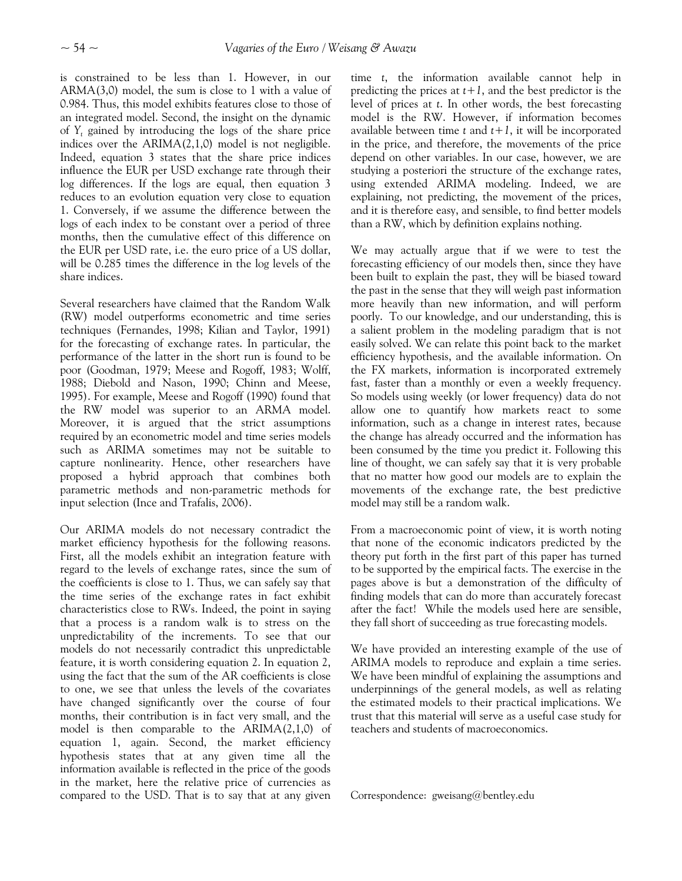is constrained to be less than 1. However, in our ARMA(3,0) model, the sum is close to 1 with a value of 0.984. Thus, this model exhibits features close to those of an integrated model. Second, the insight on the dynamic of *Yt* gained by introducing the logs of the share price indices over the ARIMA(2,1,0) model is not negligible. Indeed, equation 3 states that the share price indices influence the EUR per USD exchange rate through their log differences. If the logs are equal, then equation 3 reduces to an evolution equation very close to equation 1. Conversely, if we assume the difference between the logs of each index to be constant over a period of three months, then the cumulative effect of this difference on the EUR per USD rate, i.e. the euro price of a US dollar, will be 0.285 times the difference in the log levels of the share indices.

Several researchers have claimed that the Random Walk (RW) model outperforms econometric and time series techniques (Fernandes, 1998; Kilian and Taylor, 1991) for the forecasting of exchange rates. In particular, the performance of the latter in the short run is found to be poor (Goodman, 1979; Meese and Rogoff, 1983; Wolff, 1988; Diebold and Nason, 1990; Chinn and Meese, 1995). For example, Meese and Rogoff (1990) found that the RW model was superior to an ARMA model. Moreover, it is argued that the strict assumptions required by an econometric model and time series models such as ARIMA sometimes may not be suitable to capture nonlinearity. Hence, other researchers have proposed a hybrid approach that combines both parametric methods and non-parametric methods for input selection (Ince and Trafalis, 2006).

Our ARIMA models do not necessary contradict the market efficiency hypothesis for the following reasons. First, all the models exhibit an integration feature with regard to the levels of exchange rates, since the sum of the coefficients is close to 1. Thus, we can safely say that the time series of the exchange rates in fact exhibit characteristics close to RWs. Indeed, the point in saying that a process is a random walk is to stress on the unpredictability of the increments. To see that our models do not necessarily contradict this unpredictable feature, it is worth considering equation 2. In equation 2, using the fact that the sum of the AR coefficients is close to one, we see that unless the levels of the covariates have changed significantly over the course of four months, their contribution is in fact very small, and the model is then comparable to the ARIMA(2,1,0) of equation 1, again. Second, the market efficiency hypothesis states that at any given time all the information available is reflected in the price of the goods in the market, here the relative price of currencies as compared to the USD. That is to say that at any given time *t*, the information available cannot help in predicting the prices at  $t+1$ , and the best predictor is the level of prices at *t*. In other words, the best forecasting model is the RW. However, if information becomes available between time *t* and *t+1*, it will be incorporated in the price, and therefore, the movements of the price depend on other variables. In our case, however, we are studying a posteriori the structure of the exchange rates, using extended ARIMA modeling. Indeed, we are explaining, not predicting, the movement of the prices, and it is therefore easy, and sensible, to find better models than a RW, which by definition explains nothing.

We may actually argue that if we were to test the forecasting efficiency of our models then, since they have been built to explain the past, they will be biased toward the past in the sense that they will weigh past information more heavily than new information, and will perform poorly. To our knowledge, and our understanding, this is a salient problem in the modeling paradigm that is not easily solved. We can relate this point back to the market efficiency hypothesis, and the available information. On the FX markets, information is incorporated extremely fast, faster than a monthly or even a weekly frequency. So models using weekly (or lower frequency) data do not allow one to quantify how markets react to some information, such as a change in interest rates, because the change has already occurred and the information has been consumed by the time you predict it. Following this line of thought, we can safely say that it is very probable that no matter how good our models are to explain the movements of the exchange rate, the best predictive model may still be a random walk.

From a macroeconomic point of view, it is worth noting that none of the economic indicators predicted by the theory put forth in the first part of this paper has turned to be supported by the empirical facts. The exercise in the pages above is but a demonstration of the difficulty of finding models that can do more than accurately forecast after the fact! While the models used here are sensible, they fall short of succeeding as true forecasting models.

We have provided an interesting example of the use of ARIMA models to reproduce and explain a time series. We have been mindful of explaining the assumptions and underpinnings of the general models, as well as relating the estimated models to their practical implications. We trust that this material will serve as a useful case study for teachers and students of macroeconomics.

Correspondence: gweisang@bentley.edu